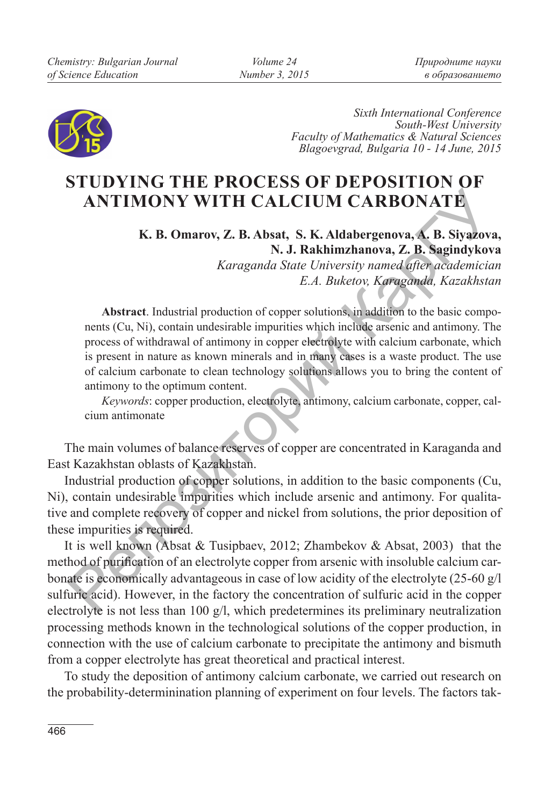*Volume 24 Number 3, 2015*



*Sixth International Conference South-West University Faculty of Mathematics & Natural Sciences Blagoevgrad, Bulgaria 10 - 14 June, 2015*

## **STUDYING THE PROCESS OF DEPOSITION OF ANTIMONY WITH CALCIUM CARBONATE**

## **K. B. Omarov, Z. B. Absat, S. K. Aldabergenova, A. B. Siyazova, N. J. Rakhimzhanova, Z. B. Sagindykova**

*Karaganda State University named after academician E.A. Buketov, Karaganda, Kazakhstan*

**Abstract**. Industrial production of copper solutions, in addition to the basic components (Cu, Ni), contain undesirable impurities which include arsenic and antimony. The process of withdrawal of antimony in copper electrolyte with calcium carbonate, which is present in nature as known minerals and in many cases is a waste product. The use of calcium carbonate to clean technology solutions allows you to bring the content of antimony to the optimum content. **EXECTIVITY CALCIUM CARBONATE**<br> **EXECTIVITY CARBONATE**<br> **EXECTIVITY CARBONATE**<br> **EXECTIVITY CARBONATE**<br> **EXECTIVITY CARBONATE**<br> **EXECTIVITY CARBONATE**<br> **EXECTIVITY CARBONATE**<br> **EXECTIVITY CARBONATE**<br> **EXECTIVITY** CARBONAT

*Keywords*: copper production, electrolyte, antimony, calcium carbonate, copper, calcium antimonate

The main volumes of balance reserves of copper are concentrated in Karaganda and East Kazakhstan oblasts of Kazakhstan.

Industrial production of copper solutions, in addition to the basic components (Cu, Ni), contain undesirable impurities which include arsenic and antimony. For qualitative and complete recovery of copper and nickel from solutions, the prior deposition of these impurities is required.

It is well known (Absat & Tusіpbaev, 2012; Zhambekov & Absat, 2003) that the method of purification of an electrolyte copper from arsenic with insoluble calcium carbonate is economically advantageous in case of low acidity of the electrolyte (25-60 g/l sulfuric acid). However, in the factory the concentration of sulfuric acid in the copper electrolyte is not less than 100 g/l, which predetermines its preliminary neutralization processing methods known in the technological solutions of the copper production, in connection with the use of calcium carbonate to precipitate the antimony and bismuth from a copper electrolyte has great theoretical and practical interest.

To study the deposition of antimony calcium carbonate, we carried out research on the probability-determinination planning of experiment on four levels. The factors tak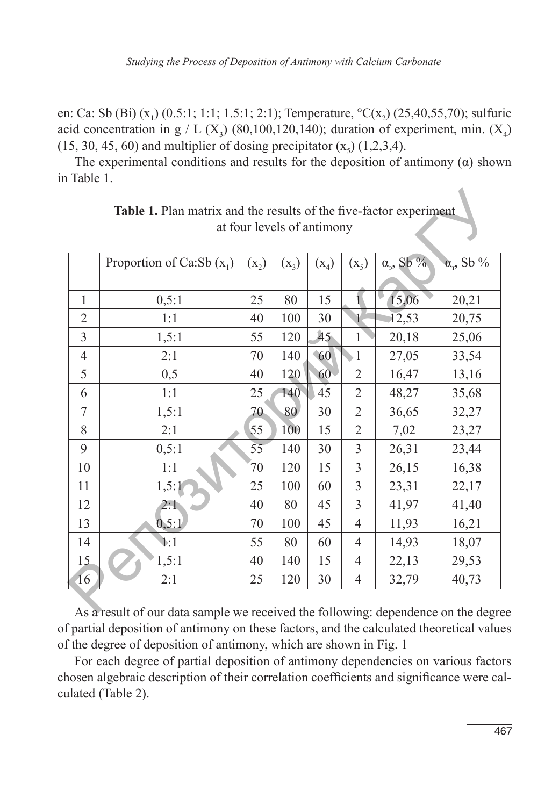en: Ca: Sb (Bi) (x<sub>1</sub>) (0.5:1; 1:1; 1.5:1; 2:1); Temperature,  ${}^{\circ}C(x)$  (25,40,55,70); sulfuric acid concentration in  $g / L(X_3)$  (80,100,120,140); duration of experiment, min.  $(X_4)$  $(15, 30, 45, 60)$  and multiplier of dosing precipitator  $(x_5)$   $(1,2,3,4)$ .

The experimental conditions and results for the deposition of antimony  $(\alpha)$  shown in Table 1.

|                | Proportion of Ca:Sb $(x_1)$ | $(x_2)$ | $(X_3)$ | $(x_4)$         | $(x_5)$        | $\alpha_{2}$ , Sb % | $\alpha_{\rm r}$ , Sb % |
|----------------|-----------------------------|---------|---------|-----------------|----------------|---------------------|-------------------------|
|                |                             |         |         |                 |                |                     |                         |
| $\mathbf{1}$   | 0, 5:1                      | 25      | 80      | 15              | 1              | 15,06               | 20,21                   |
| $\overline{2}$ | 1:1                         | 40      | 100     | 30              |                | 12,53               | 20,75                   |
| $\overline{3}$ | 1,5:1                       | 55      | 120     | 45 <sub>1</sub> | $\mathbf{1}$   | 20,18               | 25,06                   |
| $\overline{4}$ | 2:1                         | 70      | 140     | 60              | 1              | 27,05               | 33,54                   |
| 5              | 0, 5                        | 40      | 120     | 60 <sub>1</sub> | $\overline{2}$ | 16,47               | 13,16                   |
| 6              | 1:1                         | 25      | 140     | 45              | $\overline{2}$ | 48,27               | 35,68                   |
| 7              | 1,5:1                       | 70      | 80      | 30              | $\overline{2}$ | 36,65               | 32,27                   |
| 8              | 2:1                         | 55      | 100     | 15              | $\overline{2}$ | 7,02                | 23,27                   |
| 9              | 0, 5:1                      | 55      | 140     | 30              | 3              | 26,31               | 23,44                   |
| 10             | 1:1                         | 70      | 120     | 15              | 3              | 26,15               | 16,38                   |
| 11             | 1,5:1'                      | 25      | 100     | 60              | 3              | 23,31               | 22,17                   |
| 12             | 2:1                         | 40      | 80      | 45              | 3              | 41,97               | 41,40                   |
| 13             | 0, 5:1                      | 70      | 100     | 45              | $\overline{4}$ | 11,93               | 16,21                   |
| 14             | $\ddagger$ :1               | 55      | 80      | 60              | $\overline{4}$ | 14,93               | 18,07                   |
| 15             | 1, 5:1                      | 40      | 140     | 15              | 4              | 22,13               | 29,53                   |
| <b>16</b>      | 2:1                         | 25      | 120     | 30              | $\overline{4}$ | 32,79               | 40,73                   |

Table 1. Plan matrix and the results of the five-factor experiment at four levels of antimony

As a result of our data sample we received the following: dependence on the degree of partial deposition of antimony on these factors, and the calculated theoretical values of the degree of deposition of antimony, which are shown in Fig. 1

For each degree of partial deposition of antimony dependencies on various factors chosen algebraic description of their correlation coefficients and significance were calculated (Table 2).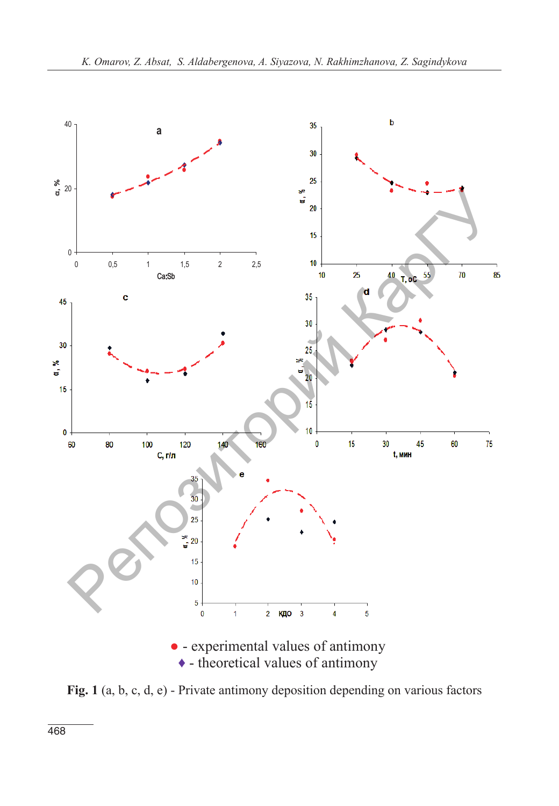

 $\bullet$  - theoretical values of antimony

**Fig. 1** (a, b, c, d, e) - Private antimony deposition depending on various factors **Fig. 1** (a, b, c, d, e) - Private antimony deposition depending on various factors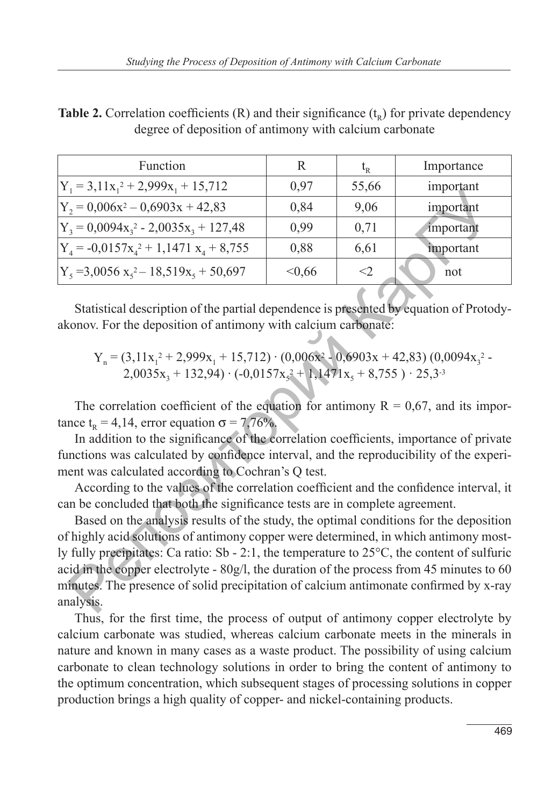**Table 2.** Correlation coefficients  $(R)$  and their significance  $(t_R)$  for private dependency degree of deposition of antimony with calcium carbonate

| Function                                                                                                                                                                                                                                                                                                                                                                                                                                                                                                                                                                                                                                                                                                                                                                                                                                                                                                                                                                                                                                                                                                                                                                                    | R      | $t_{R}$  | Importance |  |  |  |  |  |  |
|---------------------------------------------------------------------------------------------------------------------------------------------------------------------------------------------------------------------------------------------------------------------------------------------------------------------------------------------------------------------------------------------------------------------------------------------------------------------------------------------------------------------------------------------------------------------------------------------------------------------------------------------------------------------------------------------------------------------------------------------------------------------------------------------------------------------------------------------------------------------------------------------------------------------------------------------------------------------------------------------------------------------------------------------------------------------------------------------------------------------------------------------------------------------------------------------|--------|----------|------------|--|--|--|--|--|--|
| $Y_1 = 3,11x_1^2 + 2,999x_1 + 15,712$                                                                                                                                                                                                                                                                                                                                                                                                                                                                                                                                                                                                                                                                                                                                                                                                                                                                                                                                                                                                                                                                                                                                                       | 0,97   | 55,66    | important  |  |  |  |  |  |  |
| $Y_2 = 0.006x^2 - 0.6903x + 42.83$                                                                                                                                                                                                                                                                                                                                                                                                                                                                                                                                                                                                                                                                                                                                                                                                                                                                                                                                                                                                                                                                                                                                                          | 0,84   | 9,06     | important  |  |  |  |  |  |  |
| $Y_3 = 0.0094x_3^2 - 2.0035x_3 + 127.48$                                                                                                                                                                                                                                                                                                                                                                                                                                                                                                                                                                                                                                                                                                                                                                                                                                                                                                                                                                                                                                                                                                                                                    | 0,99   | 0,71     | important  |  |  |  |  |  |  |
| $Y_4 = -0.0157x_4^2 + 1.1471x_4 + 8.755$                                                                                                                                                                                                                                                                                                                                                                                                                                                                                                                                                                                                                                                                                                                                                                                                                                                                                                                                                                                                                                                                                                                                                    | 0,88   | 6,61     | important  |  |  |  |  |  |  |
| $Y_5 = 3,0056 x_5^2 - 18,519x_5 + 50,697$                                                                                                                                                                                                                                                                                                                                                                                                                                                                                                                                                                                                                                                                                                                                                                                                                                                                                                                                                                                                                                                                                                                                                   | < 0,66 | $\leq$ 2 | not        |  |  |  |  |  |  |
| Statistical description of the partial dependence is presented by equation of Protody-<br>akonov. For the deposition of antimony with calcium carbonate:<br>$Y_n = (3,11x_1^2 + 2,999x_1 + 15,712) \cdot (0,006x^2 - 0,6903x + 42,83) (0,0094x_1^2 -$<br>$2,0035x_3 + 132,94 \cdot (-0,0157x_5^2 + 1,1471x_5 + 8,755) \cdot 25,33$<br>The correlation coefficient of the equation for antimony $R = 0.67$ , and its impor-<br>tance $t_R = 4, 14$ , error equation $\sigma = 7,76\%$ .<br>In addition to the significance of the correlation coefficients, importance of private<br>functions was calculated by confidence interval, and the reproducibility of the experi-<br>ment was calculated according to Cochran's Q test.<br>According to the values of the correlation coefficient and the confidence interval, it<br>can be concluded that both the significance tests are in complete agreement.<br>Based on the analysis results of the study, the optimal conditions for the deposition<br>of highly acid solutions of antimony copper were determined, in which antimony most-<br>ly fully precipitates: Ca ratio: Sb - 2:1, the temperature to 25°C, the content of sulfuric |        |          |            |  |  |  |  |  |  |
| acid in the copper electrolyte - 80g/l, the duration of the process from 45 minutes to 60<br>minutes. The presence of solid precipitation of calcium antimonate confirmed by x-ray<br>analysis.                                                                                                                                                                                                                                                                                                                                                                                                                                                                                                                                                                                                                                                                                                                                                                                                                                                                                                                                                                                             |        |          |            |  |  |  |  |  |  |
|                                                                                                                                                                                                                                                                                                                                                                                                                                                                                                                                                                                                                                                                                                                                                                                                                                                                                                                                                                                                                                                                                                                                                                                             |        |          |            |  |  |  |  |  |  |

Thus, for the first time, the process of output of antimony copper electrolyte by calcium carbonate was studied, whereas calcium carbonate meets in the minerals in nature and known in many cases as a waste product. The possibility of using calcium carbonate to clean technology solutions in order to bring the content of antimony to the optimum concentration, which subsequent stages of processing solutions in copper production brings a high quality of copper- and nickel-containing products.